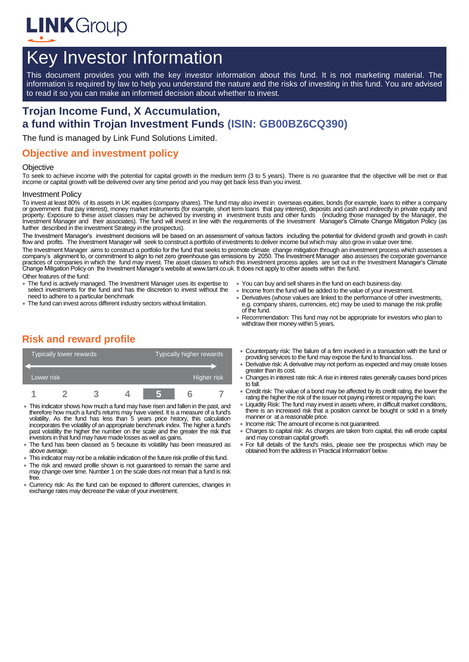

# Key Investor Information

This document provides you with the key investor information about this fund. It is not marketing material. The information is required by law to help you understand the nature and the risks of investing in this fund. You are advised to read it so you can make an informed decision about whether to invest.

# **Trojan Income Fund, X Accumulation, a fund within Trojan Investment Funds (ISIN: GB00BZ6CQ390)**

The fund is managed by Link Fund Solutions Limited.

### **Objective and investment policy**

#### **Objective**

To seek to achieve income with the potential for capital growth in the medium term (3 to 5 years). There is no guarantee that the objective will be met or that income or capital growth will be delivered over any time period and you may get back less than you invest.

#### Investment Policy

To invest at least 80% of its assets in UK equities (company shares). The fund may also invest in overseas equities, bonds (for example, loans to either a company or government that pay interest), money market instruments (for example, short term loans that pay interest), deposits and cash and indirectly in private equity and<br>property. Exposure to these asset classes may be achieved property. Exposure to these asset classes may be achieved by investing in investment trusts and other funds Investment Manager and their associates). The fund will invest in line with the requirements of the Investment Manager's Climate Change Mitigation Policy (as further described in the Investment Strategy in the prospectus).

The Investment Manager's investment decisions will be based on an assessment of various factors including the potential for dividend growth and growth in cash flow and profits. The Investment Manager will seek to construct a portfolio of investments to deliver income but which may also grow in value over time.

The Investment Manager aims to construct a portfolio for the fund that seeks to promote climate change mitigation through an investment process which assesses a company's alignment to, or commitment to align to net zero greenhouse gas emissions by 2050. The Investment Manager also assesses the corporate governance practices of companies in which the fund may invest. The asset classes to which this investment process applies are set out in the Investment Manager's Climate<br>Change Mitigation Policy on the Investment Manager's website a Other features of the fund:

- The fund is actively managed. The Investment Manager uses its expertise to select investments for the fund and has the discretion to invest without the need to adhere to a particular benchmark
- The fund can invest across different industry sectors without limitation.
- You can buy and sell shares in the fund on each business day.
- Income from the fund will be added to the value of your investment.
- Derivatives (whose values are linked to the performance of other investments, e.g. company shares, currencies, etc) may be used to manage the risk profile of the fund.
- Recommendation: This fund may not be appropriate for investors who plan to withdraw their money within 5 years.

# **Risk and reward profile**

| <b>Typically lower rewards</b> |  |  |  | Typically higher rewards |  |  |  |
|--------------------------------|--|--|--|--------------------------|--|--|--|
| Lower risk                     |  |  |  | Higher risk              |  |  |  |
|                                |  |  |  |                          |  |  |  |

- This indicator shows how much a fund may have risen and fallen in the past, and therefore how much a fund's returns may have varied. It is a measure of a fund's volatility. As the fund has less than 5 years price history, this calculation incorporates the volatility of an appropriate benchmark index. The higher a fund's past volatility the higher the number on the scale and the greater the risk that investors in that fund may have made losses as well as gains.
- The fund has been classed as 5 because its volatility has been measured as above average.
- This indicator may not be a reliable indication of the future risk profile of this fund.
- The risk and reward profile shown is not guaranteed to remain the same and may change over time. Number 1 on the scale does not mean that a fund is risk free.
- Currency risk: As the fund can be exposed to different currencies, changes in exchange rates may decrease the value of your investment.
- Counterparty risk: The failure of a firm involved in a transaction with the fund or providing services to the fund may expose the fund to financial loss.
- Derivative risk: A derivative may not perform as expected and may create losses greater than its cost.
- Changes in interest rate risk: A rise in interest rates generally causes bond prices to fall.
- Credit risk: The value of a bond may be affected by its credit rating, the lower the rating the higher the risk of the issuer not paying interest or repaying the loan.
- Liquidity Risk: The fund may invest in assets where, in difficult market conditions, there is an increased risk that a position cannot be bought or sold in a timely manner or at a reasonable price.
- Income risk: The amount of income is not guaranteed.
- Charges to capital risk: As charges are taken from capital, this will erode capital and may constrain capital growth.
- For full details of the fund's risks, please see the prospectus which may be obtained from the address in 'Practical Information' below.